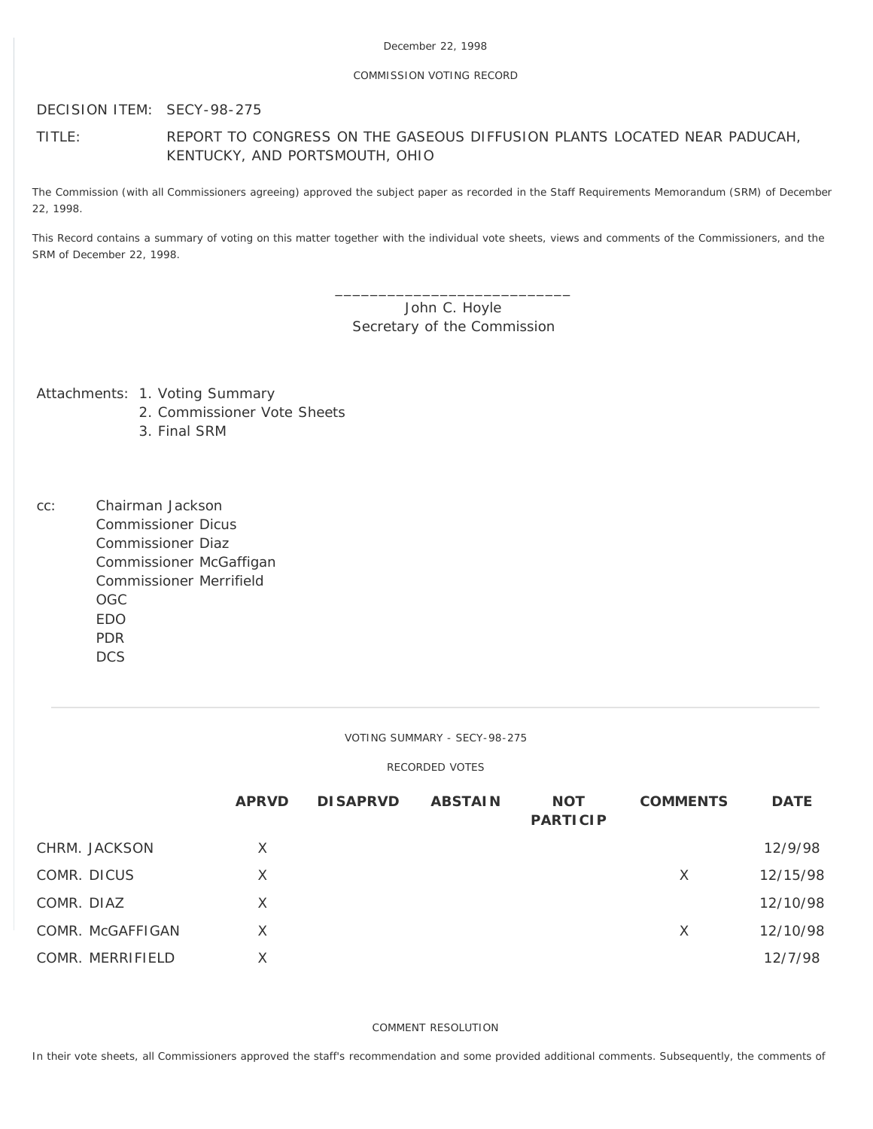## COMMISSION VOTING RECORD

DECISION ITEM: SECY-98-275

# TITLE: REPORT TO CONGRESS ON THE GASEOUS DIFFUSION PLANTS LOCATED NEAR PADUCAH, KENTUCKY, AND PORTSMOUTH, OHIO

The Commission (with all Commissioners agreeing) approved the subject paper as recorded in the Staff Requirements Memorandum (SRM) of December 22, 1998.

This Record contains a summary of voting on this matter together with the individual vote sheets, views and comments of the Commissioners, and the SRM of December 22, 1998.

> \_\_\_\_\_\_\_\_\_\_\_\_\_\_\_\_\_\_\_\_\_\_\_\_\_\_\_ John C. Hoyle Secretary of the Commission

Attachments: 1. Voting Summary

- 2. Commissioner Vote Sheets
- 3. Final SRM
- cc: Chairman Jackson Commissioner Dicus Commissioner Diaz Commissioner McGaffigan Commissioner Merrifield OGC EDO PDR **DCS**

VOTING SUMMARY - SECY-98-275

## RECORDED VOTES

|                  | <b>APRVD</b> | <b>DISAPRVD</b> | <b>ABSTAIN</b> | <b>NOT</b><br><b>PARTICIP</b> | <b>COMMENTS</b> | <b>DATE</b> |
|------------------|--------------|-----------------|----------------|-------------------------------|-----------------|-------------|
| CHRM. JACKSON    | X            |                 |                |                               |                 | 12/9/98     |
| COMR. DICUS      | X            |                 |                |                               | X               | 12/15/98    |
| COMR. DIAZ       | X            |                 |                |                               |                 | 12/10/98    |
| COMR. McGAFFIGAN | X            |                 |                |                               | X               | 12/10/98    |
| COMR. MERRIFIELD | Χ            |                 |                |                               |                 | 12/7/98     |

COMMENT RESOLUTION